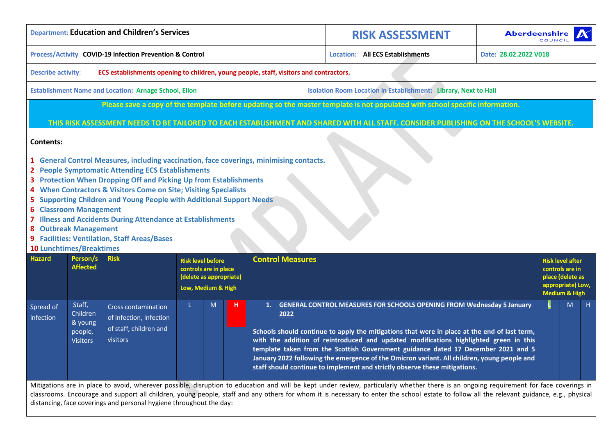|                           |                                                                                                                                                                                                                                                                                                                                                                                                                                                                                                                                                                           | <b>Department: Education and Children's Services</b>                                        |                                                                                                    |   |   |                         | <b>RISK ASSESSMENT</b>                                                                                                                                                                                                                                                                                                                                                                                                                                                                                                                                                                                                                                                                                                             |  | <b>Aberdeenshire</b>  | COMC                                          |                                                                |   |
|---------------------------|---------------------------------------------------------------------------------------------------------------------------------------------------------------------------------------------------------------------------------------------------------------------------------------------------------------------------------------------------------------------------------------------------------------------------------------------------------------------------------------------------------------------------------------------------------------------------|---------------------------------------------------------------------------------------------|----------------------------------------------------------------------------------------------------|---|---|-------------------------|------------------------------------------------------------------------------------------------------------------------------------------------------------------------------------------------------------------------------------------------------------------------------------------------------------------------------------------------------------------------------------------------------------------------------------------------------------------------------------------------------------------------------------------------------------------------------------------------------------------------------------------------------------------------------------------------------------------------------------|--|-----------------------|-----------------------------------------------|----------------------------------------------------------------|---|
|                           |                                                                                                                                                                                                                                                                                                                                                                                                                                                                                                                                                                           | Process/Activity COVID-19 Infection Prevention & Control                                    |                                                                                                    |   |   |                         | <b>Location: All ECS Establishments</b>                                                                                                                                                                                                                                                                                                                                                                                                                                                                                                                                                                                                                                                                                            |  | Date: 28.02.2022 V018 |                                               |                                                                |   |
| <b>Describe activity:</b> |                                                                                                                                                                                                                                                                                                                                                                                                                                                                                                                                                                           | ECS establishments opening to children, young people, staff, visitors and contractors.      |                                                                                                    |   |   |                         |                                                                                                                                                                                                                                                                                                                                                                                                                                                                                                                                                                                                                                                                                                                                    |  |                       |                                               |                                                                |   |
|                           |                                                                                                                                                                                                                                                                                                                                                                                                                                                                                                                                                                           | <b>Establishment Name and Location: Arnage School, Ellon</b>                                |                                                                                                    |   |   |                         | <b>Isolation Room Location in Establishment: Library, Next to Hall</b>                                                                                                                                                                                                                                                                                                                                                                                                                                                                                                                                                                                                                                                             |  |                       |                                               |                                                                |   |
|                           |                                                                                                                                                                                                                                                                                                                                                                                                                                                                                                                                                                           |                                                                                             |                                                                                                    |   |   |                         | Please save a copy of the template before updating so the master template is not populated with school specific information.                                                                                                                                                                                                                                                                                                                                                                                                                                                                                                                                                                                                       |  |                       |                                               |                                                                |   |
|                           |                                                                                                                                                                                                                                                                                                                                                                                                                                                                                                                                                                           |                                                                                             |                                                                                                    |   |   |                         | THIS RISK ASSESSMENT NEEDS TO BE TAILORED TO EACH ESTABLISHMENT AND SHARED WITH ALL STAFF. CONSIDER PUBLISHING ON THE SCHOOL'S WEBSITE.                                                                                                                                                                                                                                                                                                                                                                                                                                                                                                                                                                                            |  |                       |                                               |                                                                |   |
| <b>Contents:</b>          | 1 General Control Measures, including vaccination, face coverings, minimising contacts.<br>2 People Symptomatic Attending ECS Establishments<br>3 Protection When Dropping Off and Picking Up from Establishments<br>4 When Contractors & Visitors Come on Site; Visiting Specialists<br>5 Supporting Children and Young People with Additional Support Needs<br><b>6 Classroom Management</b><br>7 Illness and Accidents During Attendance at Establishments<br>8 Outbreak Management<br>9 Facilities: Ventilation, Staff Areas/Bases<br><b>10 Lunchtimes/Breaktimes</b> |                                                                                             |                                                                                                    |   |   |                         |                                                                                                                                                                                                                                                                                                                                                                                                                                                                                                                                                                                                                                                                                                                                    |  |                       |                                               |                                                                |   |
| <b>Hazard</b>             | Person/s<br><b>Affected</b>                                                                                                                                                                                                                                                                                                                                                                                                                                                                                                                                               | <b>Risk</b>                                                                                 | <b>Risk level before</b><br>controls are in place<br>(delete as appropriate)<br>Low, Medium & High |   |   | <b>Control Measures</b> |                                                                                                                                                                                                                                                                                                                                                                                                                                                                                                                                                                                                                                                                                                                                    |  |                       | appropriate) Low,<br><b>Medium &amp; High</b> | <b>Risk level after</b><br>controls are in<br>place (delete as |   |
| Spread of<br>infection    | Staff,<br>Children<br>& young<br>people,<br><b>Visitors</b>                                                                                                                                                                                                                                                                                                                                                                                                                                                                                                               | <b>Cross contamination</b><br>of infection, Infection<br>of staff, children and<br>visitors |                                                                                                    | M | н | 1.<br>2022              | <b>GENERAL CONTROL MEASURES FOR SCHOOLS OPENING FROM Wednesday 5 January</b><br>Schools should continue to apply the mitigations that were in place at the end of last term,<br>with the addition of reintroduced and updated modifications highlighted green in this<br>template taken from the Scottish Government guidance dated 17 December 2021 and 5<br>January 2022 following the emergence of the Omicron variant. All children, young people and<br>staff should continue to implement and strictly observe these mitigations.<br>Mitigations are in place to avoid, wherever possible, disruption to education and will be kept under review, particularly whether there is an ongoing requirement for face coverings in |  |                       |                                               | M                                                              | н |
|                           |                                                                                                                                                                                                                                                                                                                                                                                                                                                                                                                                                                           |                                                                                             |                                                                                                    |   |   |                         | classrooms. Encourage and support all children, young people, staff and any others for whom it is necessary to enter the school estate to follow all the relevant guidance, e.g., physical                                                                                                                                                                                                                                                                                                                                                                                                                                                                                                                                         |  |                       |                                               |                                                                |   |

<span id="page-0-0"></span>distancing, face coverings and personal hygiene throughout the day: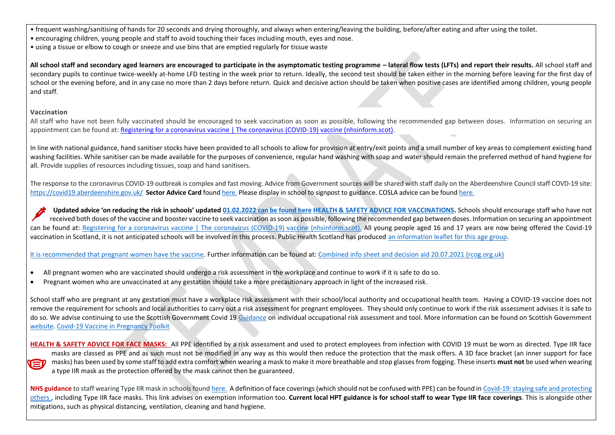• frequent washing/sanitising of hands for 20 seconds and drying thoroughly, and always when entering/leaving the building, before/after eating and after using the toilet.

- encouraging children, young people and staff to avoid touching their faces including mouth, eyes and nose.
- using a tissue or elbow to cough or sneeze and use bins that are emptied regularly for tissue waste

**All school staff and secondary aged learners are encouraged to participate in the asymptomatic testing programme – lateral flow tests (LFTs) and report their results.** All school staff and secondary pupils to continue twice-weekly at-home LFD testing in the week prior to return. Ideally, the second test should be taken either in the morning before leaving for the first day of school or the evening before, and in any case no more than 2 days before return. Quick and decisive action should be taken when positive cases are identified among children, young people and staff.

## **Vaccination**

All staff who have not been fully vaccinated should be encouraged to seek vaccination as soon as possible, following the recommended gap between doses. Information on securing an appointment can be found at: [Registering for a coronavirus vaccine | The coronavirus \(COVID-19\) vaccine \(nhsinform.scot\).](https://www.nhsinform.scot/covid-19-vaccine/invitations-and-appointments/registering-for-a-coronavirus-vaccine)

In line with national guidance, hand sanitiser stocks have been provided to all schools to allow for provision at entry/exit points and a small number of key areas to complement existing hand washing facilities. While sanitiser can be made available for the purposes of convenience, regular hand washing with soap and water should remain the preferred method of hand hygiene for all. Provide supplies of resources including tissues, soap and hand sanitisers.

The response to the coronavirus COVID-19 outbreak is complex and fast moving. Advice from Government sources will be shared with staff daily on the Aberdeenshire Council staff COVD-19 site: <https://covid19.aberdeenshire.gov.uk/>**Sector Advice Card** found [here.](https://aberdeenshire.sharepoint.com/sites/covid-19childcarehubstaffinformation/Shared%20Documents/Forms/AllItems.aspx?id=%2Fsites%2Fcovid%2D19childcarehubstaffinformation%2FShared%20Documents%2FSchool%20Recovery%20Documents%2Fcovid%2D19%2Dsector%2Dadvice%2Dcard%2Epdf&parent=%2Fsites%2Fcovid%2D19childcarehubstaffinformation%2FShared%20Documents%2FSchool%20Recovery%20Documents) Please display in school to signpost to guidance. COSLA advice can be foun[d here.](https://www.cosla.gov.uk/covid-19-information-for-councils)

**Updated advice 'on reducing the risk in schools' updated 01.02.2022 [can be found here](file:///C:/Users/ktucker/AppData/Local/Microsoft/Windows/INetCache/Content.Outlook/QIFM8CDI/Reducing%20Risks%20in%20Schools%20guidance%20-%20version%207.4%20-%20Highlighted%20Version%20-%201%20February%202022.pdf) [HEALTH & SAFETY ADVICE FOR VACCINATIONS.](https://www.gov.scot/publications/coronavirus-covid-19-guidance-on-reducing-the-risks-in-schools/pages/overview)** Schools should encourage staff who have not received both doses of the vaccine and booster vaccine to seek vaccination as soon as possible, following the recommended gap between doses. Information on securing an appointment can be found at: [Registering for a coronavirus vaccine | The coronavirus \(COVID-19\) vaccine \(nhsinform.scot\).](https://www.nhsinform.scot/covid-19-vaccine/invitations-and-appointments/registering-for-a-coronavirus-vaccine) All young people aged 16 and 17 years are now being offered the Covid-19 vaccination in Scotland, it is not anticipated schools will be involved in this process. Public Health Scotland has produced [an information leaflet for this age group.](https://www.publichealthscotland.scot/media/8656/covid-19-leaflet-for-16-to-17-year-olds.pdf)

## [It is recommended that pregnant women have the vaccine.](https://www.gov.uk/government/publications/covid-19-vaccination-women-of-childbearing-age-currently-pregnant-planning-a-pregnancy-or-breastfeeding/covid-19-vaccination-a-guide-for-women-of-childbearing-age-pregnant-planning-a-pregnancy-or-breastfeeding) Further information can be found at[: Combined info sheet and decision aid 20.07.2021 \(rcog.org.uk\)](https://www.rcog.org.uk/globalassets/documents/guidelines/2021-02-24-combined-info-sheet-and-decision-aid.pdf)

- All pregnant women who are vaccinated should undergo a risk assessment in the workplace and continue to work if it is safe to do so.
- Pregnant women who are unvaccinated at any gestation should take a more precautionary approach in light of the increased risk.

School staff who are pregnant at any gestation must have a workplace risk assessment with their school/local authority and occupational health team. Having a COVID-19 vaccine does not remove the requirement for schools and local authorities to carry out a risk assessment for pregnant employees. They should only continue to work if the risk assessment advises it is safe to do so. We advise continuing to use the Scottish Government Covid 19 [Guidance](https://www.gov.scot/publications/coronavirus-covid-19-guidance-on-individual-risk-assessment-for-the-workplace/) on individual occupational risk assessment and tool. More information can be found on Scottish Government [website.](https://www.gov.scot/publications/coronavirus-covid-19-guidance-on-reducing-the-risks-in-schools/pages/changes-to-previous-guidance/#Guidance%20for%20pregnant%20staff) [Covid-19 Vaccine in Pregnancy Toolkit](https://aberdeenshire.sharepoint.com/:b:/r/sites/covid-19childcarehubstaffinformation/Shared%20Documents/School%20Recovery%20Documents/Risk%20Assessments/COVID-19%20Vaccine%20in%20Pregnancy_TOOLKIT%20Dec%202021.pdf?csf=1&web=1&e=ts9TIS)

HEALTH & SAFETY ADVICE FOR FACE MASKS: All PPE identified by a risk assessment and used to protect employees from infection with COVID 19 must be worn as directed. Type IIR face masks are classed as PPE and as such must not be modified in any way as this would then reduce the protection that the mask offers. A 3D face bracket (an inner support for face masks) has been used by some staff to add extra comfort when wearing a mask to make it more breathable and stop glasses from fogging. These inserts **must not** be used when wearing  $\blacksquare$ a type IIR mask as the protection offered by the mask cannot then be guaranteed.

**NHS guidance** to staff wearing Type IIR mask in schools foun[d here.](https://aberdeenshire.sharepoint.com/sites/covid-19childcarehubstaffinformation/Shared%20Documents/Forms/AllItems.aspx?id=%2Fsites%2Fcovid%2D19childcarehubstaffinformation%2FShared%20Documents%2FSchool%20Recovery%20Documents%2FNHS%20Guidance%20Documents%2FFRSM%20Use%20in%20Schools%20Oct%202020%2Epdf&parent=%2Fsites%2Fcovid%2D19childcarehubstaffinformation%2FShared%20Documents%2FSchool%20Recovery%20Documents%2FNHS%20Guidance%20Documents) A definition of face coverings (which should not be confused with PPE) can be found i[n Covid-19: staying safe and protecting](https://www.gov.scot/publications/coronavirus-covid-19-phase-3-staying-safe-and-protecting-others/pages/face-coverings/)  [others](https://www.gov.scot/publications/coronavirus-covid-19-phase-3-staying-safe-and-protecting-others/pages/face-coverings/) , including Type IIR face masks. This link advises on exemption information too. **Current local HPT guidance is for school staff to wear Type IIR face coverings**. This is alongside other mitigations, such as physical distancing, ventilation, cleaning and hand hygiene.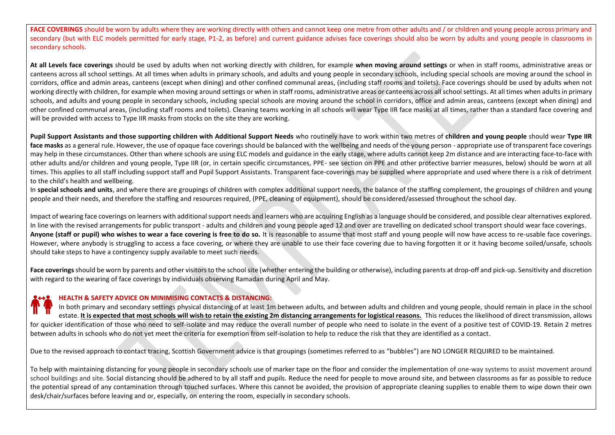FACE COVERINGS should be worn by adults where they are working directly with others and cannot keep one metre from other adults and / or children and young people across primary and secondary (but with ELC models permitted for early stage, P1-2, as before) and current guidance advises face coverings should also be worn by adults and young people in classrooms in secondary schools.

**At all Levels face coverings** should be used by adults when not working directly with children, for example **when moving around settings** or when in staff rooms, administrative areas or canteens across all school settings. At all times when adults in primary schools, and adults and young people in secondary schools, including special schools are moving around the school in corridors, office and admin areas, canteens (except when dining) and other confined communal areas, (including staff rooms and toilets). Face coverings should be used by adults when not working directly with children, for example when moving around settings or when in staff rooms, administrative areas or canteens across all school settings. At all times when adults in primary schools, and adults and young people in secondary schools, including special schools are moving around the school in corridors, office and admin areas, canteens (except when dining) and other confined communal areas, (including staff rooms and toilets). Cleaning teams working in all schools will wear Type IIR face masks at all times, rather than a standard face covering and will be provided with access to Type IIR masks from stocks on the site they are working.

**Pupil Support Assistants and those supporting children with Additional Support Needs** who routinely have to work within two metres of **children and young people** should wear **Type IIR**  face masks as a general rule. However, the use of opaque face coverings should be balanced with the wellbeing and needs of the young person - appropriate use of transparent face coverings may help in these circumstances. Other than where schools are using ELC models and guidance in the early stage, where adults cannot keep 2m distance and are interacting face-to-face with other adults and/or children and young people, Type IIR (or, in certain specific circumstances, PPE- see section on PPE and other protective barrier measures, below) should be worn at all times. This applies to all staff including support staff and Pupil Support Assistants. Transparent face-coverings may be supplied where appropriate and used where there is a risk of detriment to the child's health and wellbeing.

In special schools and units, and where there are groupings of children with complex additional support needs, the balance of the staffing complement, the groupings of children and young people and their needs, and therefore the staffing and resources required, (PPE, cleaning of equipment), should be considered/assessed throughout the school day.

Impact of wearing face coverings on learners with additional support needs and learners who are acquiring English as a language should be considered, and possible clear alternatives explored. In line with the revised arrangements for public transport - adults and children and young people aged 12 and over are travelling on dedicated school transport should wear face coverings. Anyone (staff or pupil) who wishes to wear a face covering is free to do so. It is reasonable to assume that most staff and young people will now have access to re-usable face coverings. However, where anybody is struggling to access a face covering, or where they are unable to use their face covering due to having forgotten it or it having become soiled/unsafe, schools should take steps to have a contingency supply available to meet such needs.

Face coverings should be worn by parents and other visitors to the school site (whether entering the building or otherwise), including parents at drop-off and pick-up. Sensitivity and discretion with regard to the wearing of face coverings by individuals observing Ramadan during April and May.

## **HEALTH & SAFETY ADVICE ON MINIMISING CONTACTS & DISTANCING:**

In both primary and secondary settings physical distancing of at least 1m between adults, and between adults and children and young people, should remain in place in the school estate. **It is expected that most schools will wish to retain the existing 2m distancing arrangements for logistical reasons.** This reduces the likelihood of direct transmission, allows for quicker identification of those who need to self-isolate and may reduce the overall number of people who need to isolate in the event of a positive test of COVID-19. Retain 2 metres between adults in schools who do not yet meet the criteria for exemption from self-isolation to help to reduce the risk that they are identified as a contact.

Due to the revised approach to contact tracing, Scottish Government advice is that groupings (sometimes referred to as "bubbles") are NO LONGER REQUIRED to be maintained.

To help with maintaining distancing for young people in secondary schools use of marker tape on the floor and consider the implementation of one-way systems to assist movement around school buildings and site. Social distancing should be adhered to by all staff and pupils. Reduce the need for people to move around site, and between classrooms as far as possible to reduce the potential spread of any contamination through touched surfaces. Where this cannot be avoided, the provision of appropriate cleaning supplies to enable them to wipe down their own desk/chair/surfaces before leaving and or, especially, on entering the room, especially in secondary schools.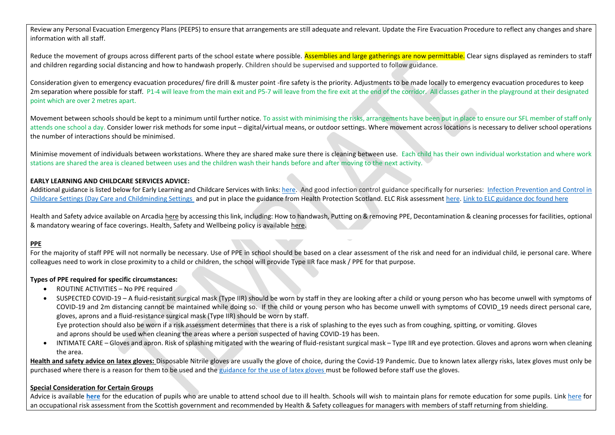Review any Personal Evacuation Emergency Plans (PEEPS) to ensure that arrangements are still adequate and relevant. Update the Fire Evacuation Procedure to reflect any changes and share information with all staff.

Reduce the movement of groups across different parts of the school estate where possible. Assemblies and large gatherings are now permittable. Clear signs displayed as reminders to staff and children regarding social distancing and how to handwash properly. Children should be supervised and supported to follow guidance.

Consideration given to emergency evacuation procedures/ fire drill & muster point -fire safety is the priority. Adjustments to be made locally to emergency evacuation procedures to keep 2m separation where possible for staff. P1-4 will leave from the main exit and P5-7 will leave from the fire exit at the end of the corridor. All classes gather in the playground at their designated point which are over 2 metres apart.

Movement between schools should be kept to a minimum until further notice. To assist with minimising the risks, arrangements have been put in place to ensure our SFL member of staff only attends one school a day. Consider lower risk methods for some input – digital/virtual means, or outdoor settings. Where movement across locations is necessary to deliver school operations the number of interactions should be minimised.

Minimise movement of individuals between workstations. Where they are shared make sure there is cleaning between use. Each child has their own individual workstation and where work stations are shared the area is cleaned between uses and the children wash their hands before and after moving to the next activity.

## **EARLY LEARNING AND CHILDCARE SERVICES ADVICE:**

Additional guidance is listed below for Early Learning and Childcare Services with links: [here.](http://www.gov.scot/publications/coronavirus-covid-19-guidance-on-reopening-early-learning-and-childcare-services/) And good infection control guidance specifically for nurseries: Infection Prevention and Control in [Childcare Settings \(Day Care and Childminding Settings](https://hpspubsrepo.blob.core.windows.net/hps-website/nss/2448/documents/1_infection-prevention-control-childcare-2018-05.pdf) and put in place the guidance from Health Protection Scotland. ELC Risk assessmen[t here.](https://aberdeenshire.sharepoint.com/:w:/r/sites/1140SupportMaterials/_layouts/15/Doc.aspx?sourcedoc=%7B0295D0FB-AD0F-420C-95A7-60F4C4EAAB87%7D&file=MASTER%20FINAL%20DRAFT%20%20Risk%20Assessment%20for%20ELCs%20Recovery%20Aug%2020.docx&action=default&mobileredirect=true&cid=a8337f1d-9098-4468-818b-0badbffc38f1) [Link to ELC guidance doc found here](https://www.gov.scot/publications/coronavirus-covid-19-early-learning-and-childcare-services/pages/overview/)

Health and Safety advice available on Arcadia [here](https://aberdeenshire.sharepoint.com/sites/Arcadia/services/Pages/Business%20Services/HR%20and%20OD/Health%20and%20Safety,%20Wellbeing%20and%20Risk%20Management/Health-and-Safety,-Wellbeing-and-Risk-Management.aspx) by accessing this link, including: How to handwash, Putting on & removing PPE, Decontamination & cleaning processes for facilities, optional & mandatory wearing of face coverings. Health, Safety and Wellbeing policy is availabl[e here.](https://aberdeenshire.sharepoint.com/sites/Arcadia/services/Documents/Business%20Services/HR+OD/Health%20and%20Safety/Aberdeenshire%20Council%20Corporate%20H+S%20Policy/Aberdeenshire%20Council%20-%20General%20HS%20Policy%20Statement.pdf)

## **PPE**

For the majority of staff PPE will not normally be necessary. Use of PPE in school should be based on a clear assessment of the risk and need for an individual child, ie personal care. Where colleagues need to work in close proximity to a child or children, the school will provide Type IIR face mask / PPE for that purpose.

## **Types of PPE required for specific circumstances:**

- ROUTINE ACTIVITIES No PPE required
- SUSPECTED COVID-19 A fluid-resistant surgical mask (Type IIR) should be worn by staff in they are looking after a child or young person who has become unwell with symptoms of COVID-19 and 2m distancing cannot be maintained while doing so. If the child or young person who has become unwell with symptoms of COVID 19 needs direct personal care, gloves, aprons and a fluid-resistance surgical mask (Type IIR) should be worn by staff.

 Eye protection should also be worn if a risk assessment determines that there is a risk of splashing to the eyes such as from coughing, spitting, or vomiting. Gloves and aprons should be used when cleaning the areas where a person suspected of having COVID-19 has been.

• INTIMATE CARE – Gloves and apron. Risk of splashing mitigated with the wearing of fluid-resistant surgical mask – Type IIR and eye protection. Gloves and aprons worn when cleaning the area.

**Health and safety advice on latex gloves:** Disposable Nitrile gloves are usually the glove of choice, during the Covid-19 Pandemic. Due to known latex allergy risks, latex gloves must only be purchased where there is a reason for them to be used and the [guidance for the use of latex gloves](https://aberdeenshire.sharepoint.com/sites/Arcadia/services/Documents/Business%20Services/HR+OD/Health%20and%20Safety/COVID-19/Guidance%20for%20the%20use%20of%20Latex%20Gloves.pdf) must be followed before staff use the gloves.

## **Special Consideration for Certain Groups**

Advice is available **[here](https://www.gov.scot/publications/guidance-education-children-unable-attend-school-due-ill-health/)** for the education of pupils who are unable to attend school due to ill health. Schools will wish to maintain plans for remote education for some pupils. Link [here](https://www.gov.scot/binaries/content/documents/govscot/publications/advice-and-guidance/2020/07/coronavirus-covid-19-guidance-on-individual-risk-assessment-for-the-workplace/documents/risk-assessment-tools-and-guidance/occupational-risk-assessment-tool-and-guidance/occupational-risk-assessment-tool-and-guidance/govscot%3Adocument/Occupational%2BRisk%2BAssessment%2BGuidance%2Band%2BTool%2B%2528Interactive%2529%2B04%2BSeptember.pdf?forceDownload=true) for an occupational risk assessment from the Scottish government and recommended by Health & Safety colleagues for managers with members of staff returning from shielding.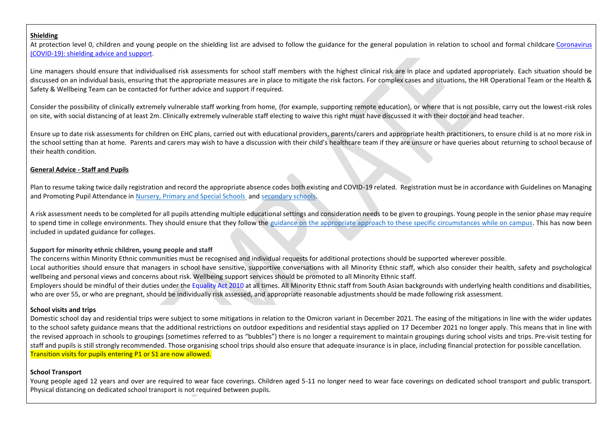## **Shielding**

At protection level 0, children and young people on the shielding list are advised to follow the guidance for the general population in relation to school and formal childcare Coronavirus [\(COVID-19\): shielding advice and support.](https://www.gov.scot/publications/covid-shielding/pages/levels-advice/)

Line managers should ensure that individualised risk assessments for school staff members with the highest clinical risk are in place and updated appropriately. Each situation should be discussed on an individual basis, ensuring that the appropriate measures are in place to mitigate the risk factors. For complex cases and situations, the HR Operational Team or the Health & Safety & Wellbeing Team can be contacted for further advice and support if required.

Consider the possibility of clinically extremely vulnerable staff working from home, (for example, supporting remote education), or where that is not possible, carry out the lowest-risk roles on site, with social distancing of at least 2m. Clinically extremely vulnerable staff electing to waive this right must have discussed it with their doctor and head teacher.

Ensure up to date risk assessments for children on EHC plans, carried out with educational providers, parents/carers and appropriate health practitioners, to ensure child is at no more risk in the school setting than at home. Parents and carers may wish to have a discussion with their child's healthcare team if they are unsure or have queries about returning to school because of their health condition.

## **General Advice - Staff and Pupils**

Plan to resume taking twice daily registration and record the appropriate absence codes both existing and COVID-19 related. Registration must be in accordance with Guidelines on Managing and Promoting Pupil Attendance in [Nursery, Primary and Special Schools](https://asn-aberdeenshire.org/wp-content/uploads/2017/08/attendance-policy-guidance-primary-schools-november-2015.pdf) and [secondary schools.](https://asn-aberdeenshire.org/wp-content/uploads/2017/08/attendance-policy-guidance-secondary-schools-november-2015.pdf)

A risk assessment needs to be completed for all pupils attending multiple educational settings and consideration needs to be given to groupings. Young people in the senior phase may require to spend time in college environments. They should ensure that they follow the [guidance on the appropriate approach to these specific circumstances while on campus.](https://www.gov.scot/publications/coronavirus-covid-19-universities-colleges-and-student-accommodation-providers/) This has now been included in updated guidance for colleges.

## **Support for minority ethnic children, young people and staff**

The concerns within Minority Ethnic communities must be recognised and individual requests for additional protections should be supported wherever possible.

Local authorities should ensure that managers in school have sensitive, supportive conversations with all Minority Ethnic staff, which also consider their health, safety and psychological wellbeing and personal views and concerns about risk. Wellbeing support services should be promoted to all Minority Ethnic staff.

Employers should be mindful of their duties under the [Equality Act 2010 a](https://www.legislation.gov.uk/ukpga/2010/15/contents)t all times. All Minority Ethnic staff from South Asian backgrounds with underlying health conditions and disabilities, who are over 55, or who are pregnant, should be individually risk assessed, and appropriate reasonable adjustments should be made following risk assessment.

## **School visits and trips**

Domestic school day and residential trips were subject to some mitigations in relation to the Omicron variant in December 2021. The easing of the mitigations in line with the wider updates to the school safety guidance means that the additional restrictions on outdoor expeditions and residential stays applied on 17 December 2021 no longer apply. This means that in line with the revised approach in schools to groupings (sometimes referred to as "bubbles") there is no longer a requirement to maintain groupings during school visits and trips. Pre-visit testing for staff and pupils is still strongly recommended. Those organising school trips should also ensure that adequate insurance is in place, including financial protection for possible cancellation. Transition visits for pupils entering P1 or S1 are now allowed.

## **School Transport**

Young people aged 12 years and over are required to wear face coverings. Children aged 5-11 no longer need to wear face coverings on dedicated school transport and public transport. Physical distancing on dedicated school transport is not required between pupils.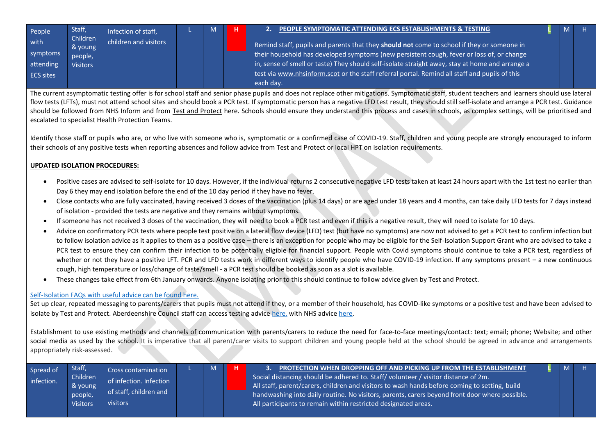<span id="page-5-0"></span>

| People           | Staff,              | Infection of staff,   |  | н | 2. PEOPLE SYMPTOMATIC ATTENDING ECS ESTABLISHMENTS & TESTING                                          |  |  |
|------------------|---------------------|-----------------------|--|---|-------------------------------------------------------------------------------------------------------|--|--|
| with             | Children<br>& young | children and visitors |  |   | Remind staff, pupils and parents that they should not come to school if they or someone in            |  |  |
| symptoms         | people,             |                       |  |   | their household has developed symptoms (new persistent cough, fever or loss of, or change             |  |  |
| attending        | <b>Visitors</b>     |                       |  |   | in, sense of smell or taste) They should self-isolate straight away, stay at home and arrange a       |  |  |
| <b>ECS sites</b> |                     |                       |  |   | $\vert$ test via www.nhsinform.scot or the staff referral portal. Remind all staff and pupils of this |  |  |
|                  |                     |                       |  |   | each day.                                                                                             |  |  |

The current asymptomatic testing offer is for school staff and senior phase pupils and does not replace other mitigations. Symptomatic staff, student teachers and learners should use lateral flow tests (LFTs), must not attend school sites and should book a PCR test. If symptomatic person has a negative LFD test result, they should still self-isolate and arrange a PCR test. Guidance should be followed from NHS Inform and from [Test and Protect](https://www.nhsinform.scot/campaigns/test-and-protect) here. Schools should ensure they understand this process and cases in schools, as complex settings, will be prioritised and escalated to specialist Health Protection Teams.

Identify those staff or pupils who are, or who live with someone who is, symptomatic or a confirmed case of COVID-19. Staff, children and young people are strongly encouraged to inform their schools of any positive tests when reporting absences and follow advice from Test and Protect or local HPT on isolation requirements.

## **UPDATED ISOLATION PROCEDURES:**

- Positive cases are advised to self-isolate for 10 days. However, if the individual returns 2 consecutive negative LFD tests taken at least 24 hours apart with the 1st test no earlier than Day 6 they may end isolation before the end of the 10 day period if they have no fever.
- Close contacts who are fully vaccinated, having received 3 doses of the vaccination (plus 14 days) or are aged under 18 years and 4 months, can take daily LFD tests for 7 days instead of isolation - provided the tests are negative and they remains without symptoms.
- If someone has not received 3 doses of the vaccination, they will need to book a PCR test and even if this is a negative result, they will need to isolate for 10 days.
- Advice on confirmatory PCR tests where people test positive on a lateral flow device (LFD) test (but have no symptoms) are now not advised to get a PCR test to confirm infection but to follow isolation advice as it applies to them as a positive case – there is an exception for people who may be eligible for the Self-Isolation Support Grant who are advised to take a PCR test to ensure they can confirm their infection to be potentially eligible for financial support. People with Covid symptoms should continue to take a PCR test, regardless of whether or not they have a positive LFT. PCR and LFD tests work in different ways to identify people who have COVID-19 infection. If any symptoms present – a new continuous cough, high temperature or loss/change of taste/smell - a PCR test should be booked as soon as a slot is available.
- These changes take effect from 6th January onwards. Anyone isolating prior to this should continue to follow advice given by Test and Protect.

## [Self-Isolation FAQs with useful advice can be found here.](https://aberdeenshire.sharepoint.com/:b:/r/sites/covid-19childcarehubstaffinformation/Shared%20Documents/School%20Recovery%20Documents/Risk%20Assessments/Self-Isolation%20Changes%20QA%20-%206%20January%202022%20V2%205.1.22.pdf?csf=1&web=1&e=jm7tDc)

Set up clear, repeated messaging to parents/carers that pupils must not attend if they, or a member of their household, has COVID-like symptoms or a positive test and have been advised to isolate by Test and Protect. Aberdeenshire Council staff can access testing advice [here.](https://aberdeenshire.sharepoint.com/:w:/r/sites/covid-19childcarehubstaffinformation/_layouts/15/Doc.aspx?sourcedoc=%7B6F29F5AD-96EE-4637-8D10-012490D40AC9%7D&file=ECS%20Staff%20Testing%20Advice%20230920.docx&action=default&mobileredirect=true) with NHS advice [here.](https://aberdeenshire.sharepoint.com/:w:/r/sites/covid-19childcarehubstaffinformation/_layouts/15/Doc.aspx?sourcedoc=%7B6C873C53-C9AE-44B0-8126-205A874667C9%7D&file=Covid-19%20-%20Accessing%20School%20Staff%20Testing.docx&action=default&mobileredirect=true)

<span id="page-5-1"></span>Establishment to use existing methods and channels of communication with parents/carers to reduce the need for face-to-face meetings/contact: text; email; phone; Website; and other social media as used by the school. It is imperative that all parent/carer visits to support children and young people held at the school should be agreed in advance and arrangements appropriately risk-assessed.

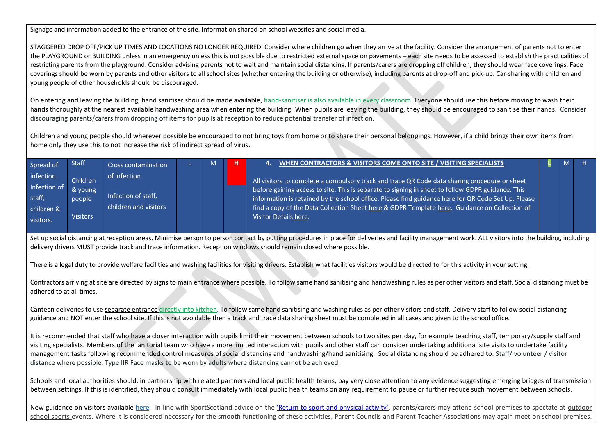Signage and information added to the entrance of the site. Information shared on school websites and social media.

STAGGERED DROP OFF/PICK UP TIMES AND LOCATIONS NO LONGER REQUIRED. Consider where children go when they arrive at the facility. Consider the arrangement of parents not to enter the PLAYGROUND or BUILDING unless in an emergency unless this is not possible due to restricted external space on pavements – each site needs to be assessed to establish the practicalities of restricting parents from the playground. Consider advising parents not to wait and maintain social distancing. If parents/carers are dropping off children, they should wear face coverings. Face coverings should be worn by parents and other visitors to all school sites (whether entering the building or otherwise), including parents at drop-off and pick-up. Car-sharing with children and young people of other households should be discouraged.

On entering and leaving the building, hand sanitiser should be made available, hand-sanitiser is also available in every classroom. Everyone should use this before moving to wash their hands thoroughly at the nearest available handwashing area when entering the building. When pupils are leaving the building, they should be encouraged to sanitise their hands. Consider discouraging parents/carers from dropping off items for pupils at reception to reduce potential transfer of infection.

Children and young people should wherever possible be encouraged to not bring toys from home or to share their personal belongings. However, if a child brings their own items from home only they use this to not increase the risk of indirect spread of virus.

<span id="page-6-0"></span>

| Spread of                                                       | <b>Staff</b>                                     | <b>Cross contamination</b>                                    | M | WHEN CONTRACTORS & VISITORS COME ONTO SITE / VISITING SPECIALISTS                                                                                                                                                                                                                                                                                                                                                                  |  | н. |
|-----------------------------------------------------------------|--------------------------------------------------|---------------------------------------------------------------|---|------------------------------------------------------------------------------------------------------------------------------------------------------------------------------------------------------------------------------------------------------------------------------------------------------------------------------------------------------------------------------------------------------------------------------------|--|----|
| infection.<br>Infection of<br>staff.<br>children &<br>visitors. | Children<br>& young<br>people<br><b>Visitors</b> | of infection.<br>Infection of staff,<br>children and visitors |   | All visitors to complete a compulsory track and trace QR Code data sharing procedure or sheet<br>before gaining access to site. This is separate to signing in sheet to follow GDPR guidance. This<br>information is retained by the school office. Please find guidance here for QR Code Set Up. Please<br>find a copy of the Data Collection Sheet here & GDPR Template here. Guidance on Collection of<br>Visitor Details here. |  |    |

Set up social distancing at reception areas. Minimise person to person contact by putting procedures in place for deliveries and facility management work. ALL visitors into the building, including delivery drivers MUST provide track and trace information. Reception windows should remain closed where possible.

There is a legal duty to provide welfare facilities and washing facilities for visiting drivers. Establish what facilities visitors would be directed to for this activity in your setting.

Contractors arriving at site are directed by signs to main entrance where possible. To follow same hand sanitising and handwashing rules as per other visitors and staff. Social distancing must be adhered to at all times.

Canteen deliveries to use separate entrance directly into kitchen. To follow same hand sanitising and washing rules as per other visitors and staff. Delivery staff to follow social distancing guidance and NOT enter the school site. If this is not avoidable then a track and trace data sharing sheet must be completed in all cases and given to the school office.

It is recommended that staff who have a closer interaction with pupils limit their movement between schools to two sites per day, for example teaching staff, temporary/supply staff and visiting specialists. Members of the janitorial team who have a more limited interaction with pupils and other staff can consider undertaking additional site visits to undertake facility management tasks following recommended control measures of social distancing and handwashing/hand sanitising. Social distancing should be adhered to. Staff/ volunteer / visitor distance where possible. Type IIR Face masks to be worn by adults where distancing cannot be achieved.

Schools and local authorities should, in partnership with related partners and local public health teams, pay very close attention to any evidence suggesting emerging bridges of transmission between settings. If this is identified, they should consult immediately with local public health teams on any requirement to pause or further reduce such movement between schools.

New guidance on visitors availabl[e here.](https://aberdeenshire.sharepoint.com/:w:/r/sites/covid-19childcarehubstaffinformation/Shared%20Documents/School%20Recovery%20Documents/Volunteers%20in%20schools%20-%20October%20update%20for%20Headteachers%20and%20Parent%20Councils.docx?d=w4221aa4d371d4ff1a5a8850547ed4eb0&csf=1&web=1&e=b4W156) In line with SportScotland advice on the ['Return to sport and physical activity'](https://sportscotland.org.uk/media/6953/return-to-sport-physical-activity-guidance-17-september-2021-final.pdf), parents/carers may attend school premises to spectate at outdoor school sports events. Where it is considered necessary for the smooth functioning of these activities, Parent Councils and Parent Teacher Associations may again meet on school premises.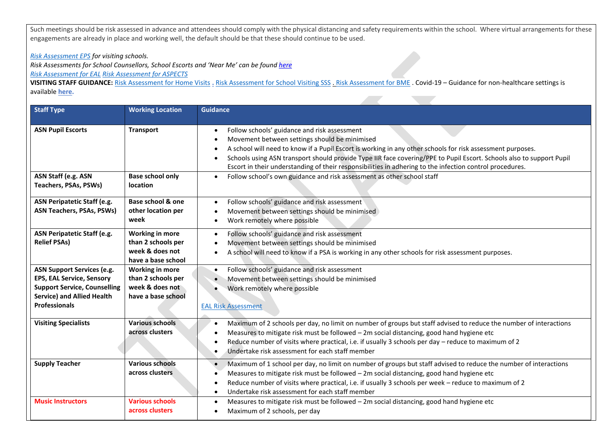Such meetings should be risk assessed in advance and attendees should comply with the physical distancing and safety requirements within the school. Where virtual arrangements for these engagements are already in place and working well, the default should be that these should continue to be used.

# *[Risk Assessment EPS](https://aberdeenshire.sharepoint.com/:w:/r/sites/covid-19childcarehubstaffinformation/_layouts/15/Doc.aspx?sourcedoc=%7BAD97D1D3-94D8-4D5F-A861-B1E9C6FF6A4D%7D&file=RA%20EPS%20for%20visitng%20schools%20%20(004).docx&action=default&mobileredirect=true) for visiting schools.*

*Risk Assessments for School Counsellors, School Escorts and 'Near Me' can be foun[d here](https://aberdeenshire.sharepoint.com/sites/covid-19childcarehubstaffinformation/Shared%20Documents/Forms/AllItems.aspx?id=%2Fsites%2Fcovid%2D19childcarehubstaffinformation%2FShared%20Documents%2FSchool%20Recovery%20Documents&newTargetListUrl=%2Fsites%2Fcovid%2D19childcarehubstaffinformation%2FShared%20Documents&viewpath=%2Fsites%2Fcovid%2D19childcarehubstaffinformation%2FShared%20Documents%2FForms%2FAllItems%2Easpx&viewid=d9eefab0%2D1334%2D4bdb%2Dbfba%2D5ad35be1e920)*

*[Risk Assessment for EAL](https://aberdeenshire.sharepoint.com/:w:/r/sites/covid-19childcarehubstaffinformation/_layouts/15/Doc.aspx?sourcedoc=%7B3B24765F-1B06-451C-8DAE-3F68CC2AB45A%7D&file=ECS%20Covid_19%20Risk%20Assessment%20for%20EAL%202021%2004%2001.docx&action=default&mobileredirect=true) [Risk Assessment for ASPECTS](https://aberdeenshire.sharepoint.com/:w:/r/sites/covid-19childcarehubstaffinformation/_layouts/15/Doc.aspx?sourcedoc=%7B0D1427C6-7400-4B89-A4B1-E368E960549D%7D&file=ECS%20Covid_19%20Risk%20Assessment%20for%20ASPECTS%202021%2003%2011.docx&action=default&mobileredirect=true)*

**VISITING STAFF GUIDANCE:** [Risk Assessment for Home Visits](https://aberdeenshire.sharepoint.com/:w:/r/sites/covid-19childcarehubstaffinformation/_layouts/15/Doc.aspx?sourcedoc=%7BC4D14250-D0FE-4A55-893D-14EF6A789579%7D&file=Risk%20Assessment%20Home%20Visits%20updated%2025%20Feb%202021.docx&action=default&mobileredirect=true) **.** [Risk Assessment for School Visiting SSS](https://aberdeenshire.sharepoint.com/:w:/r/sites/covid-19childcarehubstaffinformation/_layouts/15/Doc.aspx?sourcedoc=%7B80F72EBD-4248-4AC9-97B3-DE4C4DAC64BF%7D&file=Risk%20Assessment%20school%20visiting%20SSS%20updated%2025%20Feb%202021.docx&action=default&mobileredirect=true) . [Risk Assessment for BME](https://aberdeenshire.sharepoint.com/:w:/r/sites/covid-19childcarehubstaffinformation/_layouts/15/Doc.aspx?sourcedoc=%7B211BAA27-09EF-4D7A-9B0B-378AE28E17B3%7D&file=Risk%20Assessment%20BME%20updated%2025%20Feb%202021%20.docx&action=default&mobileredirect=true) . Covid-19 – Guidance for non-healthcare settings is available **[here.](https://www.hps.scot.nhs.uk/web-resources-container/covid-19-guidance-for-non-healthcare-settings/)**

| <b>Staff Type</b>                                                                                                                                                         | <b>Working Location</b>                                                               | <b>Guidance</b>                                                                                                                                                                                                                                                                                                                                                                                                                                                                                                                                     |
|---------------------------------------------------------------------------------------------------------------------------------------------------------------------------|---------------------------------------------------------------------------------------|-----------------------------------------------------------------------------------------------------------------------------------------------------------------------------------------------------------------------------------------------------------------------------------------------------------------------------------------------------------------------------------------------------------------------------------------------------------------------------------------------------------------------------------------------------|
| <b>ASN Pupil Escorts</b><br>ASN Staff (e.g. ASN<br>Teachers, PSAs, PSWs)                                                                                                  | <b>Transport</b><br><b>Base school only</b><br><b>location</b>                        | Follow schools' guidance and risk assessment<br>$\bullet$<br>Movement between settings should be minimised<br>A school will need to know if a Pupil Escort is working in any other schools for risk assessment purposes.<br>Schools using ASN transport should provide Type IIR face covering/PPE to Pupil Escort. Schools also to support Pupil<br>Escort in their understanding of their responsibilities in adhering to the infection control procedures.<br>Follow school's own guidance and risk assessment as other school staff<br>$\bullet$ |
| ASN Peripatetic Staff (e.g.<br><b>ASN Teachers, PSAs, PSWs)</b>                                                                                                           | <b>Base school &amp; one</b><br>other location per<br>week                            | Follow schools' guidance and risk assessment<br>Movement between settings should be minimised<br>Work remotely where possible                                                                                                                                                                                                                                                                                                                                                                                                                       |
| ASN Peripatetic Staff (e.g.<br><b>Relief PSAs)</b>                                                                                                                        | <b>Working in more</b><br>than 2 schools per<br>week & does not<br>have a base school | Follow schools' guidance and risk assessment<br>$\bullet$<br>Movement between settings should be minimised<br>A school will need to know if a PSA is working in any other schools for risk assessment purposes.                                                                                                                                                                                                                                                                                                                                     |
| <b>ASN Support Services (e.g.</b><br><b>EPS, EAL Service, Sensory</b><br><b>Support Service, Counselling</b><br><b>Service) and Allied Health</b><br><b>Professionals</b> | <b>Working in more</b><br>than 2 schools per<br>week & does not<br>have a base school | Follow schools' guidance and risk assessment<br>$\bullet$<br>Movement between settings should be minimised<br>Work remotely where possible<br><b>EAL Risk Assessment</b>                                                                                                                                                                                                                                                                                                                                                                            |
| <b>Visiting Specialists</b>                                                                                                                                               | <b>Various schools</b><br>across clusters                                             | Maximum of 2 schools per day, no limit on number of groups but staff advised to reduce the number of interactions<br>Measures to mitigate risk must be followed - 2m social distancing, good hand hygiene etc<br>Reduce number of visits where practical, i.e. if usually 3 schools per day - reduce to maximum of 2<br>Undertake risk assessment for each staff member<br>$\bullet$                                                                                                                                                                |
| <b>Supply Teacher</b>                                                                                                                                                     | <b>Various schools</b><br>across clusters                                             | Maximum of 1 school per day, no limit on number of groups but staff advised to reduce the number of interactions<br>Measures to mitigate risk must be followed $-2m$ social distancing, good hand hygiene etc<br>Reduce number of visits where practical, i.e. if usually 3 schools per week - reduce to maximum of 2<br>Undertake risk assessment for each staff member                                                                                                                                                                            |
| <b>Music Instructors</b>                                                                                                                                                  | <b>Various schools</b><br>across clusters                                             | Measures to mitigate risk must be followed - 2m social distancing, good hand hygiene etc<br>$\bullet$<br>Maximum of 2 schools, per day<br>$\bullet$                                                                                                                                                                                                                                                                                                                                                                                                 |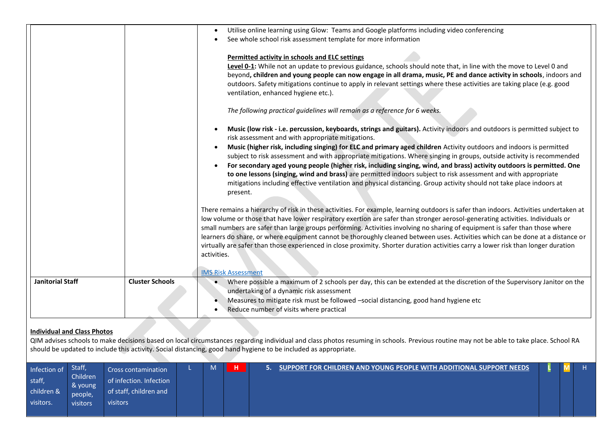|                         |                        | Utilise online learning using Glow: Teams and Google platforms including video conferencing<br>See whole school risk assessment template for more information<br>Permitted activity in schools and ELC settings<br>Level 0-1: While not an update to previous guidance, schools should note that, in line with the move to Level 0 and<br>beyond, children and young people can now engage in all drama, music, PE and dance activity in schools, indoors and<br>outdoors. Safety mitigations continue to apply in relevant settings where these activities are taking place (e.g. good                                                                                                                                                                                                                       |
|-------------------------|------------------------|---------------------------------------------------------------------------------------------------------------------------------------------------------------------------------------------------------------------------------------------------------------------------------------------------------------------------------------------------------------------------------------------------------------------------------------------------------------------------------------------------------------------------------------------------------------------------------------------------------------------------------------------------------------------------------------------------------------------------------------------------------------------------------------------------------------|
|                         |                        | ventilation, enhanced hygiene etc.).<br>The following practical guidelines will remain as a reference for 6 weeks.                                                                                                                                                                                                                                                                                                                                                                                                                                                                                                                                                                                                                                                                                            |
|                         |                        | Music (low risk - i.e. percussion, keyboards, strings and guitars). Activity indoors and outdoors is permitted subject to<br>risk assessment and with appropriate mitigations.<br>Music (higher risk, including singing) for ELC and primary aged children Activity outdoors and indoors is permitted<br>subject to risk assessment and with appropriate mitigations. Where singing in groups, outside activity is recommended<br>For secondary aged young people (higher risk, including singing, wind, and brass) activity outdoors is permitted. One<br>to one lessons (singing, wind and brass) are permitted indoors subject to risk assessment and with appropriate<br>mitigations including effective ventilation and physical distancing. Group activity should not take place indoors at<br>present. |
|                         |                        | There remains a hierarchy of risk in these activities. For example, learning outdoors is safer than indoors. Activities undertaken at<br>low volume or those that have lower respiratory exertion are safer than stronger aerosol-generating activities. Individuals or<br>small numbers are safer than large groups performing. Activities involving no sharing of equipment is safer than those where<br>learners do share, or where equipment cannot be thoroughly cleaned between uses. Activities which can be done at a distance or<br>virtually are safer than those experienced in close proximity. Shorter duration activities carry a lower risk than longer duration<br>activities.<br><b>IMS Risk Assessment</b>                                                                                  |
| <b>Janitorial Staff</b> | <b>Cluster Schools</b> | Where possible a maximum of 2 schools per day, this can be extended at the discretion of the Supervisory Janitor on the<br>undertaking of a dynamic risk assessment<br>Measures to mitigate risk must be followed -social distancing, good hand hygiene etc<br>Reduce number of visits where practical                                                                                                                                                                                                                                                                                                                                                                                                                                                                                                        |

## **Individual and Class Photos**

QIM advises schools to make decisions based on local circumstances regarding individual and class photos resuming in schools. Previous routine may not be able to take place. School RA should be updated to include this activity. Social distancing, good hand hygiene to be included as appropriate.

<span id="page-8-0"></span>

| Infection of<br>staff,<br>children & | Staff,<br>Children<br>& young | Cross contamination<br>of infection. Infection<br>of staff, children and | M |  | SUPPORT FOR CHILDREN AND YOUNG PEOPLE WITH ADDITIONAL SUPPORT NEEDS |  |  |
|--------------------------------------|-------------------------------|--------------------------------------------------------------------------|---|--|---------------------------------------------------------------------|--|--|
| visitors.                            | people,<br>visitors           | visitors                                                                 |   |  |                                                                     |  |  |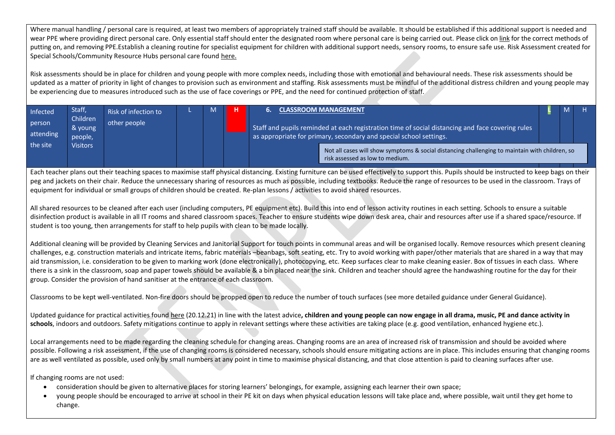Where manual handling / personal care is required, at least two members of appropriately trained staff should be available. It should be established if this additional support is needed and wear PPE where providing direct personal care. Only essential staff should enter the designated room where personal care is being carried out. Please click on [link](https://aberdeenshire.sharepoint.com/sites/Arcadia/services/Pages/Business%20Services/HR%20and%20OD/Health%20and%20Safety,%20Wellbeing%20and%20Risk%20Management/Health-and-Safety,-Wellbeing-and-Risk-Management.aspx) for the correct methods of putting on, and removing PPE.Establish a cleaning routine for specialist equipment for children with additional support needs, sensory rooms, to ensure safe use. Risk Assessment created for Special Schools/Community Resource Hubs personal care foun[d here.](https://aberdeenshire.sharepoint.com/:w:/r/sites/covid-19childcarehubstaffinformation/_layouts/15/Doc.aspx?sourcedoc=%7B4F1FC77E-C0BC-4025-B248-8A2493FA1C76%7D&file=Generic%20RA%20_Guidance%20for%20Special%20Schools.doc&action=default&mobileredirect=true&cid=2a34b085-387a-4215-a137-534fe818bd44) 

Risk assessments should be in place for children and young people with more complex needs, including those with emotional and behavioural needs. These risk assessments should be updated as a matter of priority in light of changes to provision such as environment and staffing. Risk assessments must be mindful of the additional distress children and young people may be experiencing due to measures introduced such as the use of face coverings or PPE, and the need for continued protection of staff.

<span id="page-9-0"></span>

| <b>Infected</b>     | Staff,                         | Risk of infection to |  | <b>CLASSROOM MANAGEMENT</b>                                                                                                                                            | M |  |
|---------------------|--------------------------------|----------------------|--|------------------------------------------------------------------------------------------------------------------------------------------------------------------------|---|--|
| person<br>attending | Children<br>& young<br>people, | other people         |  | Staff and pupils reminded at each registration time of social distancing and face covering rules<br>as appropriate for primary, secondary and special school settings. |   |  |
| the site            | <b>Visitors</b>                |                      |  | Not all cases will show symptoms & social distancing challenging to maintain with children, so<br>risk assessed as low to medium.                                      |   |  |

Each teacher plans out their teaching spaces to maximise staff physical distancing. Existing furniture can be used effectively to support this. Pupils should be instructed to keep bags on their peg and jackets on their chair. Reduce the unnecessary sharing of resources as much as possible, including textbooks. Reduce the range of resources to be used in the classroom. Trays of equipment for individual or small groups of children should be created. Re-plan lessons / activities to avoid shared resources.

All shared resources to be cleaned after each user (including computers, PE equipment etc). Build this into end of lesson activity routines in each setting. Schools to ensure a suitable disinfection product is available in all IT rooms and shared classroom spaces. Teacher to ensure students wipe down desk area, chair and resources after use if a shared space/resource. If student is too young, then arrangements for staff to help pupils with clean to be made locally.

Additional cleaning will be provided by Cleaning Services and Janitorial Support for touch points in communal areas and will be organised locally. Remove resources which present cleaning challenges, e.g. construction materials and intricate items, fabric materials –beanbags, soft seating, etc. Try to avoid working with paper/other materials that are shared in a way that may aid transmission, i.e. consideration to be given to marking work (done electronically), photocopying, etc. Keep surfaces clear to make cleaning easier. Box of tissues in each class. Where there is a sink in the classroom, soap and paper towels should be available & a bin placed near the sink. Children and teacher should agree the handwashing routine for the day for their group. Consider the provision of hand sanitiser at the entrance of each classroom.

Classrooms to be kept well-ventilated. Non-fire doors should be propped open to reduce the number of touch surfaces (see more detailed guidance under General Guidance).

Updated guidance for practical activities foun[d here](https://education.gov.scot/improvement/covid-19-education-recovery/covid-19-return-to-educational-establishments/) (20.12.21) in line with the latest advice**, children and young people can now engage in all drama, music, PE and dance activity in**  schools, indoors and outdoors. Safety mitigations continue to apply in relevant settings where these activities are taking place (e.g. good ventilation, enhanced hygiene etc.).

Local arrangements need to be made regarding the cleaning schedule for changing areas. Changing rooms are an area of increased risk of transmission and should be avoided where possible. Following a risk assessment, if the use of changing rooms is considered necessary, schools should ensure mitigating actions are in place. This includes ensuring that changing rooms are as well ventilated as possible, used only by small numbers at any point in time to maximise physical distancing, and that close attention is paid to cleaning surfaces after use.

If changing rooms are not used:

- consideration should be given to alternative places for storing learners' belongings, for example, assigning each learner their own space;
- young people should be encouraged to arrive at school in their PE kit on days when physical education lessons will take place and, where possible, wait until they get home to change.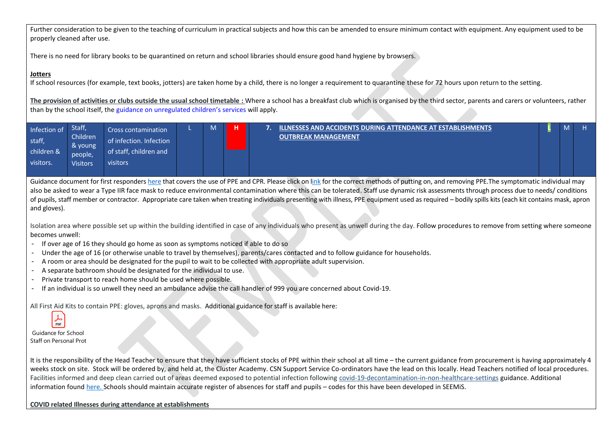Further consideration to be given to the teaching of curriculum in practical subjects and how this can be amended to ensure minimum contact with equipment. Any equipment used to be properly cleaned after use.

There is no need for library books to be quarantined on return and school libraries should ensure good hand hygiene by browsers.

## **Jotters**

If school resources (for example, text books, jotters) are taken home by a child, there is no longer a requirement to quarantine these for 72 hours upon return to the setting.

<span id="page-10-0"></span>**The provision of activities or clubs outside the usual school timetable :** Where a school has a breakfast club which is organised by the third sector, parents and carers or volunteers, rather than by the school itself, the [guidance on](https://www.gov.scot/publications/coronavirus-covid-19-organised-activities-for-children/) unregulated children's services will apply.

| Infection of | Staff,          | Cross contamination     | M | н | <u>ILLNESSES AND ACCIDENTS DURING ATTENDANCE AT ESTABLISHMENTS (</u> | М |  |
|--------------|-----------------|-------------------------|---|---|----------------------------------------------------------------------|---|--|
| staff,       | Children        | of infection. Infection |   |   | <b>OUTBREAK MANAGEMENT</b>                                           |   |  |
|              | & young         |                         |   |   |                                                                      |   |  |
| children &   |                 | of staff, children and  |   |   |                                                                      |   |  |
|              | people,         |                         |   |   |                                                                      |   |  |
| visitors.    | <b>Visitors</b> | visitors                |   |   |                                                                      |   |  |
|              |                 |                         |   |   |                                                                      |   |  |
|              |                 |                         |   |   |                                                                      |   |  |

Guidance document for first responder[s here](https://www.gov.uk/government/publications/novel-coronavirus-2019-ncov-interim-guidance-for-first-responders/interim-guidance-for-first-responders-and-others-in-close-contact-with-symptomatic-people-with-potential-2019-ncov) that covers the use of PPE and CPR. Please click on [link](https://aberdeenshire.sharepoint.com/sites/Arcadia/services/Pages/Business%20Services/HR%20and%20OD/Health%20and%20Safety,%20Wellbeing%20and%20Risk%20Management/Health-and-Safety,-Wellbeing-and-Risk-Management.aspx) for the correct methods of putting on, and removing PPE. The symptomatic individual may also be asked to wear a Type IIR face mask to reduce environmental contamination where this can be tolerated. Staff use dynamic risk assessments through process due to needs/ conditions of pupils, staff member or contractor. Appropriate care taken when treating individuals presenting with illness, PPE equipment used as required – bodily spills kits (each kit contains mask, apron and gloves).

Isolation area where possible set up within the building identified in case of any individuals who present as unwell during the day. Follow procedures to remove from setting where someone becomes unwell:

- If over age of 16 they should go home as soon as symptoms noticed if able to do so
- Under the age of 16 (or otherwise unable to travel by themselves), parents/cares contacted and to follow guidance for households.
- A room or area should be designated for the pupil to wait to be collected with appropriate adult supervision.
- A separate bathroom should be designated for the individual to use.
- Private transport to reach home should be used where possible.
- If an individual is so unwell they need an ambulance advise the call handler of 999 you are concerned about Covid-19.

All First Aid Kits to contain PPE: gloves, aprons and masks. Additional guidance for staff is available here:

 $\lambda$ 

Guidance for School Staff on Personal Protective Equipment (PPE) requirements (PPE) requirements of  $\mathbb{R}$ 

It is the responsibility of the Head Teacher to ensure that they have sufficient stocks of PPE within their school at all time – the current guidance from procurement is having approximately 4 weeks stock on site. Stock will be ordered by, and held at, the Cluster Academy. CSN Support Service Co-ordinators have the lead on this locally. Head Teachers notified of local procedures. Facilities informed and deep clean carried out of areas deemed exposed to potential infection following [covid-19-decontamination-in-non-healthcare-settings](https://www.gov.uk/government/publications/covid-19-decontamination-in-non-healthcare-settings/covid-19-decontamination-in-non-healthcare-settings) guidance. Additional information found [here.](https://hpspubsrepo.blob.core.windows.net/hps-website/nss/2973/documents/1_covid-19-guidance-for-non-healthcare-settings.pdf) Schools should maintain accurate register of absences for staff and pupils – codes for this have been developed in SEEMiS.

## **COVID related Illnesses during attendance at establishments**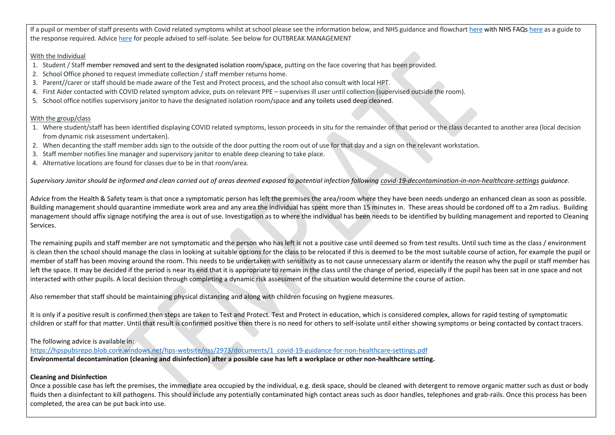If a pupil or member of staff presents with Covid related symptoms whilst at school please see the information below, and NHS guidance and flowchar[t here](https://aberdeenshire.sharepoint.com/:w:/r/sites/covid-19childcarehubstaffinformation/_layouts/15/Doc.aspx?sourcedoc=%7B55AE122A-D6FE-46C4-BA36-31571B3E33A5%7D&file=NHS%20Coronavirus%20Guide%20Schools%20Aug%202020.docx&action=default&mobileredirect=true) with NHS FAQ[s here](https://aberdeenshire.sharepoint.com/:w:/r/sites/covid-19childcarehubstaffinformation/_layouts/15/Doc.aspx?sourcedoc=%7B55AE122A-D6FE-46C4-BA36-31571B3E33A5%7D&file=NHS%20Coronavirus%20Guide%20Schools%20Aug%202020.docx&action=default&mobileredirect=true) as a guide to the response required. Advic[e here](https://www.gov.scot/publications/coronavirus-covid-19-test-and-protect/pages/advice-for-employers/) for people advised to self-isolate. See below for OUTBREAK MANAGEMENT

## With the Individual

- 1. Student / Staff member removed and sent to the designated isolation room/space, putting on the face covering that has been provided.
- 2. School Office phoned to request immediate collection / staff member returns home.
- 3. Parent//carer or staff should be made aware of the Test and Protect process, and the school also consult with local HPT.
- 4. First Aider contacted with COVID related symptom advice, puts on relevant PPE supervises ill user until collection (supervised outside the room).
- 5. School office notifies supervisory janitor to have the designated isolation room/space and any toilets used deep cleaned.

# With the group/class

- 1. Where student/staff has been identified displaying COVID related symptoms, lesson proceeds in situ for the remainder of that period or the class decanted to another area (local decision from dynamic risk assessment undertaken).
- 2. When decanting the staff member adds sign to the outside of the door putting the room out of use for that day and a sign on the relevant workstation.
- 3. Staff member notifies line manager and supervisory janitor to enable deep cleaning to take place.
- 4. Alternative locations are found for classes due to be in that room/area.

*Supervisory Janitor should be informed and clean carried out of areas deemed exposed to potential infection following [covid-19-decontamination-in-non-healthcare-settings](https://www.gov.uk/government/publications/covid-19-decontamination-in-non-healthcare-settings/covid-19-decontamination-in-non-healthcare-settings) guidance.*

Advice from the Health & Safety team is that once a symptomatic person has left the premises the area/room where they have been needs undergo an enhanced clean as soon as possible. Building management should quarantine immediate work area and any area the individual has spent more than 15 minutes in. These areas should be cordoned off to a 2m radius. Building management should affix signage notifying the area is out of use. Investigation as to where the individual has been needs to be identified by building management and reported to Cleaning Services.

The remaining pupils and staff member are not symptomatic and the person who has left is not a positive case until deemed so from test results. Until such time as the class / environment is clean then the school should manage the class in looking at suitable options for the class to be relocated if this is deemed to be the most suitable course of action, for example the pupil or member of staff has been moving around the room. This needs to be undertaken with sensitivity as to not cause unnecessary alarm or identify the reason why the pupil or staff member has left the space. It may be decided if the period is near its end that it is appropriate to remain in the class until the change of period, especially if the pupil has been sat in one space and not interacted with other pupils. A local decision through completing a dynamic risk assessment of the situation would determine the course of action.

Also remember that staff should be maintaining physical distancing and along with children focusing on hygiene measures.

It is only if a positive result is confirmed then steps are taken to Test and Protect. Test and Protect in education, which is considered complex, allows for rapid testing of symptomatic children or staff for that matter. Until that result is confirmed positive then there is no need for others to self-isolate until either showing symptoms or being contacted by contact tracers.

# The following advice is available in:

[https://hpspubsrepo.blob.core.windows.net/hps-website/nss/2973/documents/1\\_covid-19-guidance-for-non-healthcare-settings.pdf](https://hpspubsrepo.blob.core.windows.net/hps-website/nss/2973/documents/1_covid-19-guidance-for-non-healthcare-settings.pdf) **Environmental decontamination (cleaning and disinfection) after a possible case has left a workplace or other non-healthcare setting.**

# **Cleaning and Disinfection**

Once a possible case has left the premises, the immediate area occupied by the individual, e.g. desk space, should be cleaned with detergent to remove organic matter such as dust or body fluids then a disinfectant to kill pathogens. This should include any potentially contaminated high contact areas such as door handles, telephones and grab-rails. Once this process has been completed, the area can be put back into use.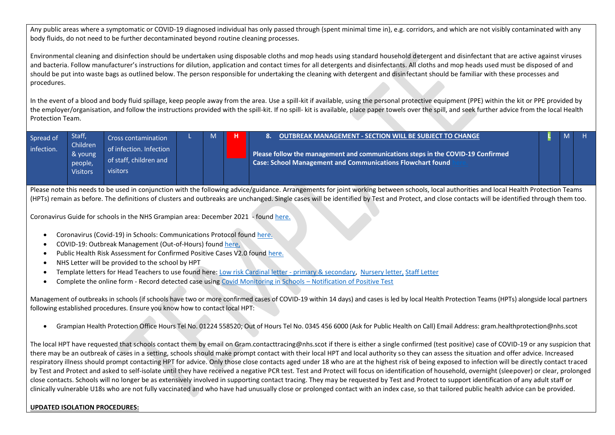Any public areas where a symptomatic or COVID-19 diagnosed individual has only passed through (spent minimal time in), e.g. corridors, and which are not visibly contaminated with any body fluids, do not need to be further decontaminated beyond routine cleaning processes.

Environmental cleaning and disinfection should be undertaken using disposable cloths and mop heads using standard household detergent and disinfectant that are active against viruses and bacteria. Follow manufacturer's instructions for dilution, application and contact times for all detergents and disinfectants. All cloths and mop heads used must be disposed of and should be put into waste bags as outlined below. The person responsible for undertaking the cleaning with detergent and disinfectant should be familiar with these processes and procedures.

In the event of a blood and body fluid spillage, keep people away from the area. Use a spill-kit if available, using the personal protective equipment (PPE) within the kit or PPE provided by the employer/organisation, and follow the instructions provided with the spill-kit. If no spill- kit is available, place paper towels over the spill, and seek further advice from the local Health Protection Team.

<span id="page-12-0"></span>

| Spread of  | <b>Staff</b>        | Cross contamination     | M | OUTBREAK MANAGEMENT - SECTION WILL BE SUBJECT TO CHANGE                         |  |  |
|------------|---------------------|-------------------------|---|---------------------------------------------------------------------------------|--|--|
| infection. | Children<br>& young | of infection. Infection |   | Please follow the management and communications steps in the COVID-19 Confirmed |  |  |
|            | people,             | of staff, children and  |   | <b>Case: School Management and Communications Flowchart found</b>               |  |  |
|            | <b>Visitors</b>     | visitors                |   |                                                                                 |  |  |

Please note this needs to be used in conjunction with the following advice/guidance. Arrangements for joint working between schools, local authorities and local Health Protection Teams (HPTs) remain as before. The definitions of clusters and outbreaks are unchanged. Single cases will be identified by Test and Protect, and close contacts will be identified through them too.

[Coronavirus Guide for schools in the NHS Grampian area:](https://aberdeenshire.sharepoint.com/:w:/r/sites/covid-19childcarehubstaffinformation/_layouts/15/Doc.aspx?sourcedoc=%7B55AE122A-D6FE-46C4-BA36-31571B3E33A5%7D&file=NHS%20Coronavirus%20Guide%20Schools%20Aug%202020.docx&action=default&mobileredirect=true&wdLOR=cEBD634A7-9F9F-43BA-ADAA-AC6C725D87A5&cid=ee5175d4-23c0-4f5b-9314-1686de32605c) December 2021 - foun[d here.](https://www.gov.scot/publications/coronavirus-covid-19-guidance-on-reducing-the-risks-in-schools/documents/)

- [Coronavirus \(Covid-19\) in Schools: Communications Protocol](https://aberdeenshire.sharepoint.com/:w:/r/sites/CommunicationsTracker/_layouts/15/Doc.aspx?sourcedoc=%7B3AB773F3-5E0A-47EF-8FE8-B0C6B5EB7F8E%7D&file=Covid-19%20Schools%20Communications%20Protocol.docx&action=default&mobileredirect=true) found [here.](https://aberdeenshire.sharepoint.com/:w:/r/sites/covid-19childcarehubstaffinformation/_layouts/15/Doc.aspx?sourcedoc=%7BB0E1E0FB-1022-4B63-8278-02852D0A998E%7D&file=Covid-19%20Schools%20Communications%20Protocol.docx&action=default&mobileredirect=true)
- [COVID-19: Outbreak Management \(Out-of-Hours\)](https://aberdeenshire.sharepoint.com/:w:/s/ECSONGOINGCOVID-19RESPONSEworkinggroup/ETgngfSDHVVDu_0opvLGGOMBqpaZ0PPz6AdZ1wx6qndBwA?e=lRfsnc&CID=D324841C-BB3A-4134-8468-A0FB9A4E7948&wdLOR=cA02A731E-2686-4934-9DD7-0C8AD7E0E02B) found [here,](https://aberdeenshire.sharepoint.com/:w:/r/sites/covid-19childcarehubstaffinformation/_layouts/15/Doc.aspx?sourcedoc=%7BDD9D5B76-A82E-4C13-ACB5-4E5F035A04D3%7D&file=OOH%20Duty%20Officer%20-%20School%20Outbreak%20-%20amendment%20January%202021.docx&action=default&mobileredirect=true)
- Public Health Risk Assessment for Confirmed Positive Cases V2.0 found [here.](https://aberdeenshire.sharepoint.com/:w:/r/sites/covid-19childcarehubstaffinformation/_layouts/15/Doc.aspx?sourcedoc=%7B210308DD-5E05-46A8-B676-521AF1B27DF0%7D&file=20201130%20Risk%20Assessment%20Form%20for%20Public%20Health%20for%20confirmed%20positive%20case(s)%20%20in%20education%2020201130%20%20v2.0.docx&action=default&mobileredirect=true)
- NHS Letter will be provided to the school by HPT
- Template letters for Head Teachers to use found here: [Low risk Cardinal letter -](https://aberdeenshire.sharepoint.com/:w:/r/sites/covid-19childcarehubstaffinformation/Shared%20Documents/School%20Recovery%20Documents/Outbreak%20Management/Short%20Low%20Risk%20Letter%20-%20Parents%20of%20primary%20and%20secondary%20school%20pupils%20-%20Updated%20Jan%202022.docx?d=wcb75e648c9bc48eaa1615d283e5dee86&csf=1&web=1&e=ZcgLuv) primary & secondary, [Nursery letter,](https://aberdeenshire.sharepoint.com/:w:/r/sites/covid-19childcarehubstaffinformation/Shared%20Documents/School%20Recovery%20Documents/Outbreak%20Management/2022%2001%2011%20WarnInformLetterNurseriesStaff.docx?d=wb13e9051644e44d5972b24a47bcb4fdb&csf=1&web=1&e=XKxavd) [Staff Letter](https://aberdeenshire.sharepoint.com/:w:/r/sites/covid-19childcarehubstaffinformation/Shared%20Documents/School%20Recovery%20Documents/Outbreak%20Management/Short%20Low%20Risk%20Letter%20-%20Staff%20-%20Updated%20Jan%202022.docx?d=w40bb5334a2ea489ca14e30938033de26&csf=1&web=1&e=OvmHSP)
- Complete the online form Record detected case using [Covid Monitoring in Schools](https://forms.office.com/Pages/ResponsePage.aspx?id=BpPZ_i1NCUSVndDttzBKC2EZGBQjhmVNo04_t93OPjRUMTAwOFkyTlJQV0FVSlVMVktJRDA0RUQ0Wi4u)  Notification of Positive Test

Management of outbreaks in schools (if schools have two or more confirmed cases of COVID-19 within 14 days) and cases is led by local Health Protection Teams (HPTs) alongside local partners following establishe[d procedures.](https://hpspubsrepo.blob.core.windows.net/hps-website/nss/1673/documents/1_shpn-12-management-public-health-incidents.pdf.) Ensure you know how to contact local HPT:

• Grampian Health Protection Office Hours Tel No. 01224 558520; Out of Hours Tel No. 0345 456 6000 (Ask for Public Health on Call) Email Address: gram.healthprotection@nhs.scot

The local HPT have requested that schools contact them by email on Gram.contacttracing@nhs.scot if there is either a single confirmed (test positive) case of COVID-19 or any suspicion that there may be an outbreak of cases in a setting, schools should make prompt contact with their local HPT and local authority so they can assess the situation and offer advice. Increased respiratory illness should prompt contacting HPT for advice. Only those close contacts aged under 18 who are at the highest risk of being exposed to infection will be directly contact traced by Test and Protect and asked to self-isolate until they have received a negative PCR test. Test and Protect will focus on identification of household, overnight (sleepover) or clear, prolonged close contacts. Schools will no longer be as extensively involved in supporting contact tracing. They may be requested by Test and Protect to support identification of any adult staff or clinically vulnerable U18s who are not fully vaccinated and who have had unusually close or prolonged contact with an index case, so that tailored public health advice can be provided.

# **UPDATED ISOLATION PROCEDURES:**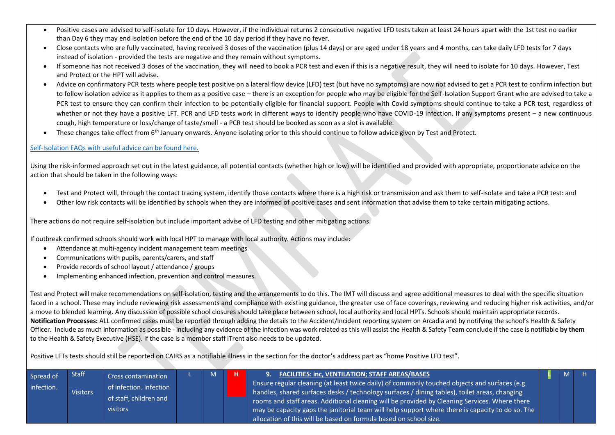- Positive cases are advised to self-isolate for 10 days. However, if the individual returns 2 consecutive negative LFD tests taken at least 24 hours apart with the 1st test no earlier than Day 6 they may end isolation before the end of the 10 day period if they have no fever.
- Close contacts who are fully vaccinated, having received 3 doses of the vaccination (plus 14 days) or are aged under 18 years and 4 months, can take daily LFD tests for 7 days instead of isolation - provided the tests are negative and they remain without symptoms.
- If someone has not received 3 doses of the vaccination, they will need to book a PCR test and even if this is a negative result, they will need to isolate for 10 days. However, Test and Protect or the HPT will advise.
- Advice on confirmatory PCR tests where people test positive on a lateral flow device (LFD) test (but have no symptoms) are now not advised to get a PCR test to confirm infection but to follow isolation advice as it applies to them as a positive case – there is an exception for people who may be eligible for the Self-Isolation Support Grant who are advised to take a PCR test to ensure they can confirm their infection to be potentially eligible for financial support. People with Covid symptoms should continue to take a PCR test, regardless of whether or not they have a positive LFT. PCR and LFD tests work in different ways to identify people who have COVID-19 infection. If any symptoms present – a new continuous cough, high temperature or loss/change of taste/smell - a PCR test should be booked as soon as a slot is available.
- These changes take effect from 6<sup>th</sup> January onwards. Anyone isolating prior to this should continue to follow advice given by Test and Protect.

#### [Self-Isolation FAQs with useful advice can be found here.](https://aberdeenshire.sharepoint.com/:b:/r/sites/covid-19childcarehubstaffinformation/Shared%20Documents/School%20Recovery%20Documents/Risk%20Assessments/Self-Isolation%20Changes%20QA%20-%206%20January%202022%20V2%205.1.22.pdf?csf=1&web=1&e=kJ8xYa)

Using the risk-informed approach set out in the latest guidance, all potential contacts (whether high or low) will be identified and provided with appropriate, proportionate advice on the action that should be taken in the following ways:

- Test and Protect will, through the contact tracing system, identify those contacts where there is a high risk or transmission and ask them to self-isolate and take a PCR test: and
- Other low risk contacts will be identified by schools when they are informed of positive cases and sent information that advise them to take certain mitigating actions.

There actions do not require self-isolation but include important advise of LFD testing and other mitigating actions.

If outbreak confirmed schools should work with local HPT to manage with local authority. Actions may include:

- Attendance at multi-agency incident management team meetings
- Communications with pupils, parents/carers, and staff
- Provide records of school layout / attendance / groups
- Implementing enhanced infection, prevention and control measures.

Test and Protect will make recommendations on self-isolation, testing and the arrangements to do this. The IMT will discuss and agree additional measures to deal with the specific situation faced in a school. These may include reviewing risk assessments and compliance with existing guidance, the greater use of face coverings, reviewing and reducing higher risk activities, and/or a move to blended learning. Any discussion of possible school closures should take place between school, local authority and local HPTs. Schools should maintain appropriate records. **Notification Processes:** ALL confirmed cases must be reported through adding the details to the Accident/Incident reporting system on Arcadia and by notifying the school's Health & Safety Officer. Include as much information as possible - including any evidence of the infection was work related as this will assist the Health & Safety Team conclude if the case is notifiable **by them** to the Health & Safety Executive (HSE). If the case is a member staff iTrent also needs to be updated.

<span id="page-13-0"></span>Positive LFTs tests should still be reported on CAIRS as a notifiable illness in the section for the doctor's address part as "home Positive LFD test".

| Spread of<br>infection. | <b>Staff</b><br><b>Visitors</b> | <b>Cross contamination</b><br>of infection. Infection<br>of staff, children and<br>visitors |  | M |  | <b>FACILITIES: inc, VENTILATION; STAFF AREAS/BASES</b><br>.9.<br><b>I</b> Ensure regular cleaning (at least twice daily) of commonly touched objects and surfaces (e.g.<br>handles, shared surfaces desks / technology surfaces / dining tables), toilet areas, changing l<br>rooms and staff areas. Additional cleaning will be provided by Cleaning Services. Where there<br>may be capacity gaps the janitorial team will help support where there is capacity to do so. The<br>allocation of this will be based on formula based on school size. |  |  |  |
|-------------------------|---------------------------------|---------------------------------------------------------------------------------------------|--|---|--|------------------------------------------------------------------------------------------------------------------------------------------------------------------------------------------------------------------------------------------------------------------------------------------------------------------------------------------------------------------------------------------------------------------------------------------------------------------------------------------------------------------------------------------------------|--|--|--|
|-------------------------|---------------------------------|---------------------------------------------------------------------------------------------|--|---|--|------------------------------------------------------------------------------------------------------------------------------------------------------------------------------------------------------------------------------------------------------------------------------------------------------------------------------------------------------------------------------------------------------------------------------------------------------------------------------------------------------------------------------------------------------|--|--|--|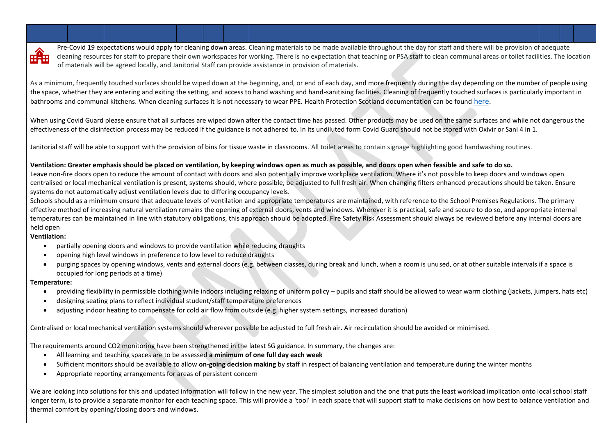

Pre-Covid 19 expectations would apply for cleaning down areas. Cleaning materials to be made available throughout the day for staff and there will be provision of adequate cleaning resources for staff to prepare their own workspaces for working. There is no expectation that teaching or PSA staff to clean communal areas or toilet facilities. The location of materials will be agreed locally, and Janitorial Staff can provide assistance in provision of materials.

As a minimum, frequently touched surfaces should be wiped down at the beginning, and, or end of each day, and more frequently during the day depending on the number of people using the space, whether they are entering and exiting the setting, and access to hand washing and hand-sanitising facilities. Cleaning of frequently touched surfaces is particularly important in bathrooms and communal kitchens. When cleaning surfaces it is not necessary to wear PPE. Health Protection Scotland documentation can be found [here.](https://hpspubsrepo.blob.core.windows.net/hps-website/nss/2973/documents/1_covid-19-guidance-for-non-healthcare-settings.pdf)

When using Covid Guard please ensure that all surfaces are wiped down after the contact time has passed. Other products may be used on the same surfaces and while not dangerous the effectiveness of the disinfection process may be reduced if the guidance is not adhered to. In its undiluted form Covid Guard should not be stored with Oxivir or Sani 4 in 1.

Janitorial staff will be able to support with the provision of bins for tissue waste in classrooms. All toilet areas to contain signage highlighting good handwashing routines.

## **Ventilation: Greater emphasis should be placed on ventilation, by keeping windows open as much as possible, and doors open when feasible and safe to do so.**

Leave non-fire doors open to reduce the amount of contact with doors and also potentially improve workplace ventilation. Where it's not possible to keep doors and windows open centralised or local mechanical ventilation is present, systems should, where possible, be adjusted to full fresh air. When changing filters enhanced precautions should be taken. Ensure systems do not automatically adjust ventilation levels due to differing occupancy levels.

Schools should as a minimum ensure that adequate levels of ventilation and appropriate temperatures are maintained, with reference to the School Premises Regulations. The primary effective method of increasing natural ventilation remains the opening of external doors, vents and windows. Wherever it is practical, safe and secure to do so, and appropriate internal temperatures can be maintained in line with statutory obligations, this approach should be adopted. Fire Safety Risk Assessment should always be reviewed before any internal doors are held open

## **Ventilation:**

- partially opening doors and windows to provide ventilation while reducing draughts
- opening high level windows in preference to low level to reduce draughts
- purging spaces by opening windows, vents and external doors (e.g. between classes, during break and lunch, when a room is unused, or at other suitable intervals if a space is occupied for long periods at a time)

## **Temperature:**

- providing flexibility in permissible clothing while indoors including relaxing of uniform policy pupils and staff should be allowed to wear warm clothing (jackets, jumpers, hats etc)
- designing seating plans to reflect individual student/staff temperature preferences
- adjusting indoor heating to compensate for cold air flow from outside (e.g. higher system settings, increased duration)

Centralised or local mechanical ventilation systems should wherever possible be adjusted to full fresh air. Air recirculation should be avoided or minimised.

The requirements around CO2 monitoring have been strengthened in the latest SG guidance. In summary, the changes are:

- All learning and teaching spaces are to be assessed **a minimum of one full day each week**
- Sufficient monitors should be available to allow **on-going decision making** by staff in respect of balancing ventilation and temperature during the winter months
- Appropriate reporting arrangements for areas of persistent concern

We are looking into solutions for this and updated information will follow in the new year. The simplest solution and the one that puts the least workload implication onto local school staff longer term, is to provide a separate monitor for each teaching space. This will provide a 'tool' in each space that will support staff to make decisions on how best to balance ventilation and thermal comfort by opening/closing doors and windows.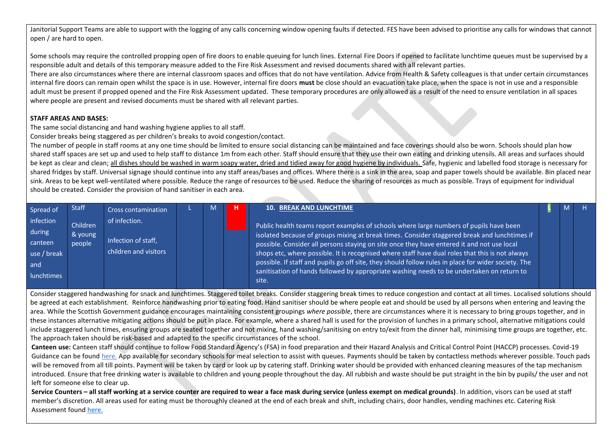Janitorial Support Teams are able to support with the logging of any calls concerning window opening faults if detected. FES have been advised to prioritise any calls for windows that cannot open / are hard to open.

Some schools may require the controlled propping open of fire doors to enable queuing for lunch lines. External Fire Doors if opened to facilitate lunchtime queues must be supervised by a responsible adult and details of this temporary measure added to the Fire Risk Assessment and revised documents shared with all relevant parties.

There are also circumstances where there are internal classroom spaces and offices that do not have ventilation. Advice from Health & Safety colleagues is that under certain circumstances internal fire doors can remain open whilst the space is in use. However, internal fire doors **must** be close should an evacuation take place, when the space is not in use and a responsible adult must be present if propped opened and the Fire Risk Assessment updated. These temporary procedures are only allowed as a result of the need to ensure ventilation in all spaces where people are present and revised documents must be shared with all relevant parties.

## **STAFF AREAS AND BASES:**

The same social distancing and hand washing hygiene applies to all staff.

Consider breaks being staggered as per children's breaks to avoid congestion/contact.

The number of people in staff rooms at any one time should be limited to ensure social distancing can be maintained and face coverings should also be worn. Schools should plan how shared staff spaces are set up and used to help staff to distance 1m from each other. Staff should ensure that they use their own eating and drinking utensils. All areas and surfaces should be kept as clear and clean; all dishes should be washed in warm soapy water, dried and tidied away for good hygiene by individuals. Safe, hygienic and labelled food storage is necessary for shared fridges by staff. Universal signage should continue into any staff areas/bases and offices. Where there is a sink in the area, soap and paper towels should be available. Bin placed near sink. Areas to be kept well-ventilated where possible. Reduce the range of resources to be used. Reduce the sharing of resources as much as possible. Trays of equipment for individual should be created. Consider the provision of hand sanitiser in each area.

<span id="page-15-0"></span>

| Spread of                                                                 | <b>Staff</b>                  | <b>Cross contamination</b>                                    | M | <b>10. BREAK AND LUNCHTIME</b>                                                                                                                                                                                                                                                                                                                                                                                                                                                                                                                                                                       |  |  |
|---------------------------------------------------------------------------|-------------------------------|---------------------------------------------------------------|---|------------------------------------------------------------------------------------------------------------------------------------------------------------------------------------------------------------------------------------------------------------------------------------------------------------------------------------------------------------------------------------------------------------------------------------------------------------------------------------------------------------------------------------------------------------------------------------------------------|--|--|
| infection<br>during<br>canteen<br>use / break<br>and<br><b>lunchtimes</b> | Children<br>& young<br>people | of infection.<br>Infection of staff,<br>children and visitors |   | Public health teams report examples of schools where large numbers of pupils have been<br>isolated because of groups mixing at break times. Consider staggered break and lunchtimes if<br>possible. Consider all persons staying on site once they have entered it and not use local<br>shops etc, where possible. It is recognised where staff have dual roles that this is not always<br>possible. If staff and pupils go off site, they should follow rules in place for wider society. The<br>sanitisation of hands followed by appropriate washing needs to be undertaken on return to<br>site. |  |  |

Consider staggered handwashing for snack and lunchtimes. Staggered toilet breaks. Consider staggering break times to reduce congestion and contact at all times. Localised solutions should be agreed at each establishment. Reinforce handwashing prior to eating food. Hand sanitiser should be where people eat and should be used by all persons when entering and leaving the area. While the Scottish Government guidance encourages maintaining consistent groupings where possible, there are circumstances where it is necessary to bring groups together, and in these instances alternative mitigating actions should be put in place. For example, where a shared hall is used for the provision of lunches in a primary school, alternative mitigations could include staggered lunch times, ensuring groups are seated together and not mixing, hand washing/sanitising on entry to/exit from the dinner hall, minimising time groups are together, etc. The approach taken should be risk-based and adapted to the specific circumstances of the school.

**Canteen use:** Canteen staff should continue to follow Food Standard Agency's (FSA) in food preparation and their Hazard Analysis and Critical Control Point (HACCP) processes. Covid-19 Guidance can be found [here.](https://www.foodstandards.gov.scot/publications-and-research/publications/covid-19-guidance-for-food-business-operators-and-their-employees) App available for secondary schools for meal selection to assist with queues. Payments should be taken by contactless methods wherever possible. Touch pads will be removed from all till points. Payment will be taken by card or look up by catering staff. Drinking water should be provided with enhanced cleaning measures of the tap mechanism introduced. Ensure that free drinking water is available to children and young people throughout the day. All rubbish and waste should be put straight in the bin by pupils/ the user and not left for someone else to clear up.

**Service Counters – all staff working at a service counter are required to wear a face mask during service (unless exempt on medical grounds)**. In addition, visors can be used at staff member's discretion. All areas used for eating must be thoroughly cleaned at the end of each break and shift, including chairs, door handles, vending machines etc. Catering Risk Assessment foun[d here.](https://aberdeenshire.sharepoint.com/:b:/r/sites/covid-19childcarehubstaffinformation/Shared%20Documents/School%20Recovery%20Documents/Risk%20Assessments/V8%20Risk%20Assessment%20Catering%20Staff%2011.08.21.pdf?csf=1&web=1&e=1laLF3)